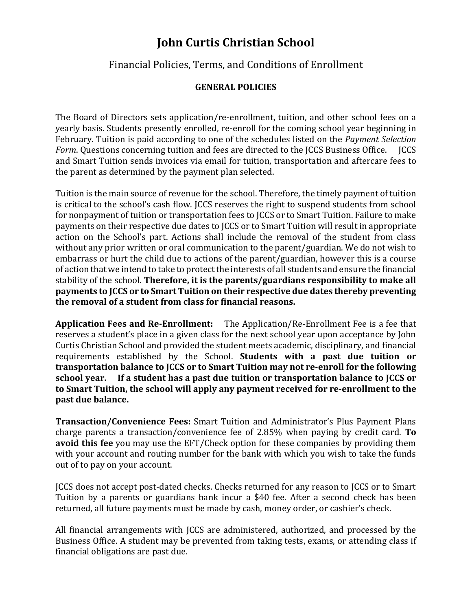## **John Curtis Christian School**

## Financial Policies, Terms, and Conditions of Enrollment

## **GENERAL POLICIES**

The Board of Directors sets application/re-enrollment, tuition, and other school fees on a yearly basis. Students presently enrolled, re-enroll for the coming school year beginning in February. Tuition is paid according to one of the schedules listed on the *Payment Selection Form*. Questions concerning tuition and fees are directed to the JCCS Business Office. JCCS and Smart Tuition sends invoices via email for tuition, transportation and aftercare fees to the parent as determined by the payment plan selected.

Tuition is the main source of revenue for the school. Therefore, the timely payment of tuition is critical to the school's cash flow. JCCS reserves the right to suspend students from school for nonpayment of tuition or transportation fees to JCCS or to Smart Tuition. Failure to make payments on their respective due dates to JCCS or to Smart Tuition will result in appropriate action on the School's part. Actions shall include the removal of the student from class without any prior written or oral communication to the parent/guardian. We do not wish to embarrass or hurt the child due to actions of the parent/guardian, however this is a course of action that we intend to take to protect the interests of all students and ensure the financial stability of the school. **Therefore, it is the parents/guardians responsibility to make all payments to JCCS or to Smart Tuition on their respective due dates thereby preventing the removal of a student from class for financial reasons.** 

**Application Fees and Re-Enrollment:** The Application/Re-Enrollment Fee is a fee that reserves a student's place in a given class for the next school year upon acceptance by John Curtis Christian School and provided the student meets academic, disciplinary, and financial requirements established by the School. **Students with a past due tuition or transportation balance to JCCS or to Smart Tuition may not re-enroll for the following school year. If a student has a past due tuition or transportation balance to JCCS or to Smart Tuition, the school will apply any payment received for re-enrollment to the past due balance.** 

**Transaction/Convenience Fees:** Smart Tuition and Administrator's Plus Payment Plans charge parents a transaction/convenience fee of 2.85% when paying by credit card. **To avoid this fee** you may use the EFT/Check option for these companies by providing them with your account and routing number for the bank with which you wish to take the funds out of to pay on your account.

JCCS does not accept post-dated checks. Checks returned for any reason to JCCS or to Smart Tuition by a parents or guardians bank incur a \$40 fee. After a second check has been returned, all future payments must be made by cash, money order, or cashier's check.

All financial arrangements with JCCS are administered, authorized, and processed by the Business Office. A student may be prevented from taking tests, exams, or attending class if financial obligations are past due.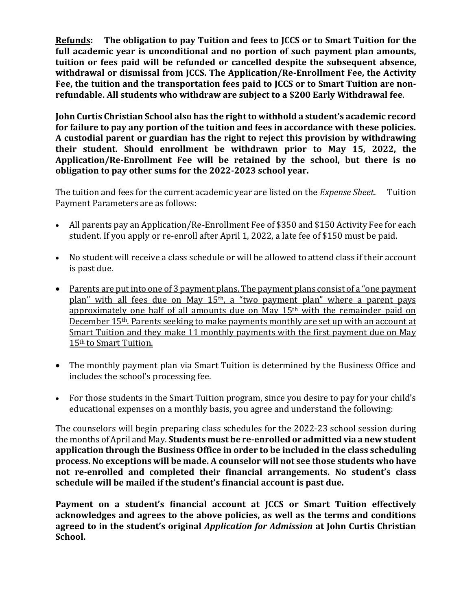**Refunds: The obligation to pay Tuition and fees to JCCS or to Smart Tuition for the full academic year is unconditional and no portion of such payment plan amounts, tuition or fees paid will be refunded or cancelled despite the subsequent absence, withdrawal or dismissal from JCCS. The Application/Re-Enrollment Fee, the Activity Fee, the tuition and the transportation fees paid to JCCS or to Smart Tuition are nonrefundable. All students who withdraw are subject to a \$200 Early Withdrawal fee**.

**John Curtis Christian School also has the right to withhold a student's academic record for failure to pay any portion of the tuition and fees in accordance with these policies. A custodial parent or guardian has the right to reject this provision by withdrawing their student. Should enrollment be withdrawn prior to May 15, 2022, the Application/Re-Enrollment Fee will be retained by the school, but there is no obligation to pay other sums for the 2022-2023 school year.**

The tuition and fees for the current academic year are listed on the *Expense Sheet*. Tuition Payment Parameters are as follows:

- All parents pay an Application/Re-Enrollment Fee of \$350 and \$150 Activity Fee for each student. If you apply or re-enroll after April 1, 2022, a late fee of \$150 must be paid.
- No student will receive a class schedule or will be allowed to attend class if their account is past due.
- Parents are put into one of 3 payment plans. The payment plans consist of a "one payment" plan" with all fees due on May 15<sup>th</sup>, a "two payment plan" where a parent pays approximately one half of all amounts due on May 15th with the remainder paid on December 15th. Parents seeking to make payments monthly are set up with an account at Smart Tuition and they make 11 monthly payments with the first payment due on May 15th to Smart Tuition.
- The monthly payment plan via Smart Tuition is determined by the Business Office and includes the school's processing fee.
- For those students in the Smart Tuition program, since you desire to pay for your child's educational expenses on a monthly basis, you agree and understand the following:

The counselors will begin preparing class schedules for the 2022-23 school session during the months of April and May. **Students must be re-enrolled or admitted via a new student application through the Business Office in order to be included in the class scheduling process. No exceptions will be made. A counselor will not see those students who have not re-enrolled and completed their financial arrangements. No student's class schedule will be mailed if the student's financial account is past due.**

**Payment on a student's financial account at JCCS or Smart Tuition effectively acknowledges and agrees to the above policies, as well as the terms and conditions agreed to in the student's original** *Application for Admission* **at John Curtis Christian School.**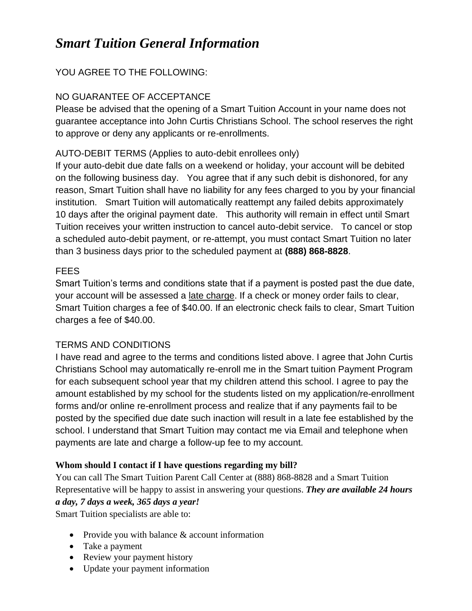# *Smart Tuition General Information*

## YOU AGREE TO THE FOLLOWING:

## NO GUARANTEE OF ACCEPTANCE

Please be advised that the opening of a Smart Tuition Account in your name does not guarantee acceptance into John Curtis Christians School. The school reserves the right to approve or deny any applicants or re-enrollments.

## AUTO-DEBIT TERMS (Applies to auto-debit enrollees only)

If your auto-debit due date falls on a weekend or holiday, your account will be debited on the following business day. You agree that if any such debit is dishonored, for any reason, Smart Tuition shall have no liability for any fees charged to you by your financial institution. Smart Tuition will automatically reattempt any failed debits approximately 10 days after the original payment date. This authority will remain in effect until Smart Tuition receives your written instruction to cancel auto-debit service. To cancel or stop a scheduled auto-debit payment, or re-attempt, you must contact Smart Tuition no later than 3 business days prior to the scheduled payment at **(888) 868-8828**.

## FEES

Smart Tuition's terms and conditions state that if a payment is posted past the due date, your account will be assessed a late charge. If a check or money order fails to clear, Smart Tuition charges a fee of \$40.00. If an electronic check fails to clear, Smart Tuition charges a fee of \$40.00.

## TERMS AND CONDITIONS

I have read and agree to the terms and conditions listed above. I agree that John Curtis Christians School may automatically re-enroll me in the Smart tuition Payment Program for each subsequent school year that my children attend this school. I agree to pay the amount established by my school for the students listed on my application/re-enrollment forms and/or online re-enrollment process and realize that if any payments fail to be posted by the specified due date such inaction will result in a late fee established by the school. I understand that Smart Tuition may contact me via Email and telephone when payments are late and charge a follow-up fee to my account.

## **Whom should I contact if I have questions regarding my bill?**

You can call The Smart Tuition Parent Call Center at (888) 868-8828 and a Smart Tuition Representative will be happy to assist in answering your questions. *They are available 24 hours a day, 7 days a week, 365 days a year!*

Smart Tuition specialists are able to:

- Provide you with balance & account information
- Take a payment
- Review your payment history
- Update your payment information